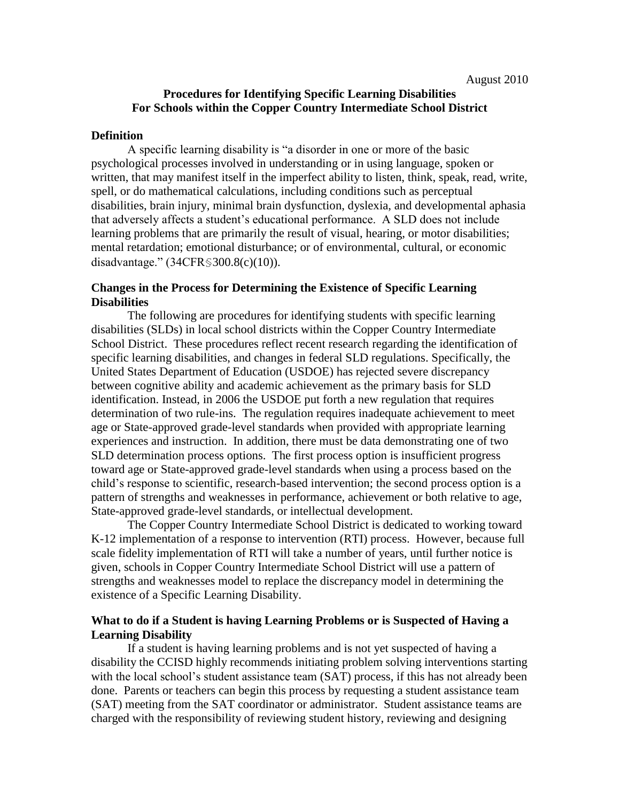# **Procedures for Identifying Specific Learning Disabilities For Schools within the Copper Country Intermediate School District**

### **Definition**

A specific learning disability is "a disorder in one or more of the basic psychological processes involved in understanding or in using language, spoken or written, that may manifest itself in the imperfect ability to listen, think, speak, read, write, spell, or do mathematical calculations, including conditions such as perceptual disabilities, brain injury, minimal brain dysfunction, dyslexia, and developmental aphasia that adversely affects a student"s educational performance. A SLD does not include learning problems that are primarily the result of visual, hearing, or motor disabilities; mental retardation; emotional disturbance; or of environmental, cultural, or economic disadvantage." (34CFR§300.8(c)(10)).

### **Changes in the Process for Determining the Existence of Specific Learning Disabilities**

The following are procedures for identifying students with specific learning disabilities (SLDs) in local school districts within the Copper Country Intermediate School District. These procedures reflect recent research regarding the identification of specific learning disabilities, and changes in federal SLD regulations. Specifically, the United States Department of Education (USDOE) has rejected severe discrepancy between cognitive ability and academic achievement as the primary basis for SLD identification. Instead, in 2006 the USDOE put forth a new regulation that requires determination of two rule-ins. The regulation requires inadequate achievement to meet age or State-approved grade-level standards when provided with appropriate learning experiences and instruction. In addition, there must be data demonstrating one of two SLD determination process options. The first process option is insufficient progress toward age or State-approved grade-level standards when using a process based on the child"s response to scientific, research-based intervention; the second process option is a pattern of strengths and weaknesses in performance, achievement or both relative to age, State-approved grade-level standards, or intellectual development.

The Copper Country Intermediate School District is dedicated to working toward K-12 implementation of a response to intervention (RTI) process. However, because full scale fidelity implementation of RTI will take a number of years, until further notice is given, schools in Copper Country Intermediate School District will use a pattern of strengths and weaknesses model to replace the discrepancy model in determining the existence of a Specific Learning Disability.

## **What to do if a Student is having Learning Problems or is Suspected of Having a Learning Disability**

If a student is having learning problems and is not yet suspected of having a disability the CCISD highly recommends initiating problem solving interventions starting with the local school's student assistance team (SAT) process, if this has not already been done. Parents or teachers can begin this process by requesting a student assistance team (SAT) meeting from the SAT coordinator or administrator. Student assistance teams are charged with the responsibility of reviewing student history, reviewing and designing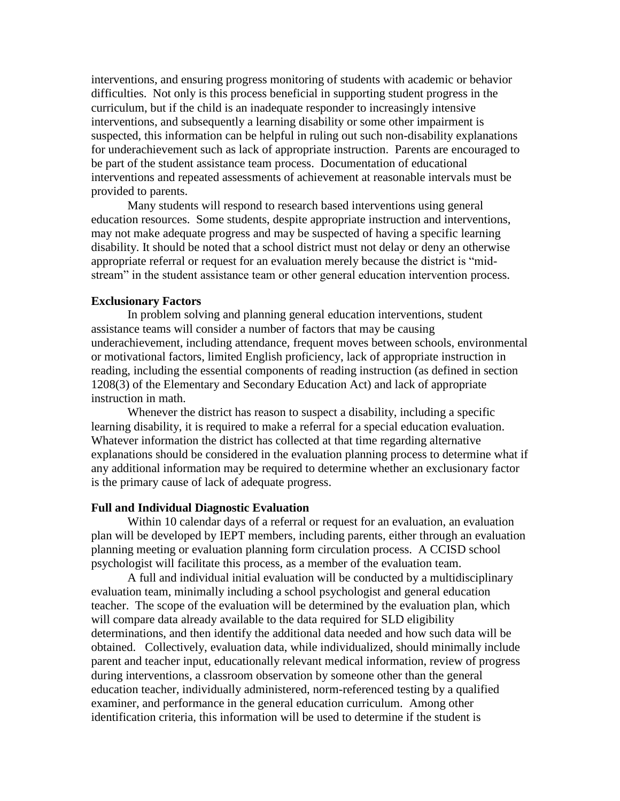interventions, and ensuring progress monitoring of students with academic or behavior difficulties. Not only is this process beneficial in supporting student progress in the curriculum, but if the child is an inadequate responder to increasingly intensive interventions, and subsequently a learning disability or some other impairment is suspected, this information can be helpful in ruling out such non-disability explanations for underachievement such as lack of appropriate instruction. Parents are encouraged to be part of the student assistance team process. Documentation of educational interventions and repeated assessments of achievement at reasonable intervals must be provided to parents.

Many students will respond to research based interventions using general education resources. Some students, despite appropriate instruction and interventions, may not make adequate progress and may be suspected of having a specific learning disability. It should be noted that a school district must not delay or deny an otherwise appropriate referral or request for an evaluation merely because the district is "midstream" in the student assistance team or other general education intervention process.

### **Exclusionary Factors**

In problem solving and planning general education interventions, student assistance teams will consider a number of factors that may be causing underachievement, including attendance, frequent moves between schools, environmental or motivational factors, limited English proficiency, lack of appropriate instruction in reading, including the essential components of reading instruction (as defined in section 1208(3) of the Elementary and Secondary Education Act) and lack of appropriate instruction in math.

Whenever the district has reason to suspect a disability, including a specific learning disability, it is required to make a referral for a special education evaluation. Whatever information the district has collected at that time regarding alternative explanations should be considered in the evaluation planning process to determine what if any additional information may be required to determine whether an exclusionary factor is the primary cause of lack of adequate progress.

### **Full and Individual Diagnostic Evaluation**

Within 10 calendar days of a referral or request for an evaluation, an evaluation plan will be developed by IEPT members, including parents, either through an evaluation planning meeting or evaluation planning form circulation process. A CCISD school psychologist will facilitate this process, as a member of the evaluation team.

A full and individual initial evaluation will be conducted by a multidisciplinary evaluation team, minimally including a school psychologist and general education teacher. The scope of the evaluation will be determined by the evaluation plan, which will compare data already available to the data required for SLD eligibility determinations, and then identify the additional data needed and how such data will be obtained. Collectively, evaluation data, while individualized, should minimally include parent and teacher input, educationally relevant medical information, review of progress during interventions, a classroom observation by someone other than the general education teacher, individually administered, norm-referenced testing by a qualified examiner, and performance in the general education curriculum. Among other identification criteria, this information will be used to determine if the student is